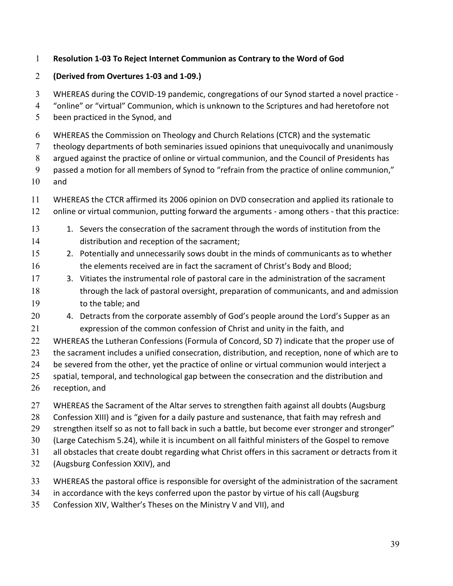## **Resolution 1-03 To Reject Internet Communion as Contrary to the Word of God**

## **(Derived from Overtures 1-03 and 1-09.)**

WHEREAS during the COVID-19 pandemic, congregations of our Synod started a novel practice -

- 4 "online" or "virtual" Communion, which is unknown to the Scriptures and had heretofore not
- been practiced in the Synod, and
- WHEREAS the Commission on Theology and Church Relations (CTCR) and the systematic
- theology departments of both seminaries issued opinions that unequivocally and unanimously
- argued against the practice of online or virtual communion, and the Council of Presidents has
- 9 passed a motion for all members of Synod to "refrain from the practice of online communion,"
- and
- WHEREAS the CTCR affirmed its 2006 opinion on DVD consecration and applied its rationale to online or virtual communion, putting forward the arguments - among others - that this practice:
- 13 1. Severs the consecration of the sacrament through the words of institution from the distribution and reception of the sacrament;
- 2. Potentially and unnecessarily sows doubt in the minds of communicants as to whether 16 the elements received are in fact the sacrament of Christ's Body and Blood;
- 3. Vitiates the instrumental role of pastoral care in the administration of the sacrament through the lack of pastoral oversight, preparation of communicants, and and admission to the table; and
- 20 4. Detracts from the corporate assembly of God's people around the Lord's Supper as an expression of the common confession of Christ and unity in the faith, and
- WHEREAS the Lutheran Confessions (Formula of Concord, SD 7) indicate that the proper use of
- 23 the sacrament includes a unified consecration, distribution, and reception, none of which are to
- be severed from the other, yet the practice of online or virtual communion would interject a
- 25 spatial, temporal, and technological gap between the consecration and the distribution and
- reception, and
- WHEREAS the Sacrament of the Altar serves to strengthen faith against all doubts (Augsburg
- 28 Confession XIII) and is "given for a daily pasture and sustenance, that faith may refresh and
- 29 strengthen itself so as not to fall back in such a battle, but become ever stronger and stronger"
- (Large Catechism 5.24), while it is incumbent on all faithful ministers of the Gospel to remove
- all obstacles that create doubt regarding what Christ offers in this sacrament or detracts from it
- (Augsburg Confession XXIV), and
- WHEREAS the pastoral office is responsible for oversight of the administration of the sacrament
- in accordance with the keys conferred upon the pastor by virtue of his call (Augsburg
- 35 Confession XIV, Walther's Theses on the Ministry V and VII), and